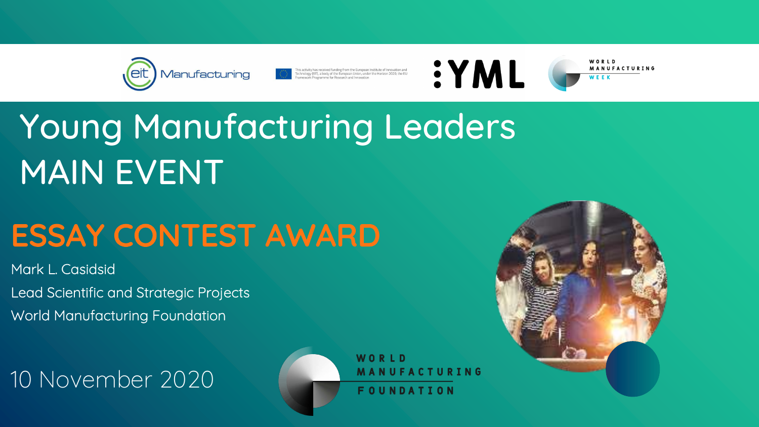



This activity has received funding from the European Institute of Innovation and<br>Technology (EIT), a body of the European Union, under the Horizon 2020, the EU<br>Framework Programme for Research and Innovation

# Young Manufacturing Leaders MAIN EVENT

## ESSAY CONTEST AWARD

Mark L. Casidsid Lead Scientific and Strategic Projects World Manufacturing Foundation

10 November 2020





WORLD MANUFACTURING WEEK



WORLD MANUFACTURING FOUNDATION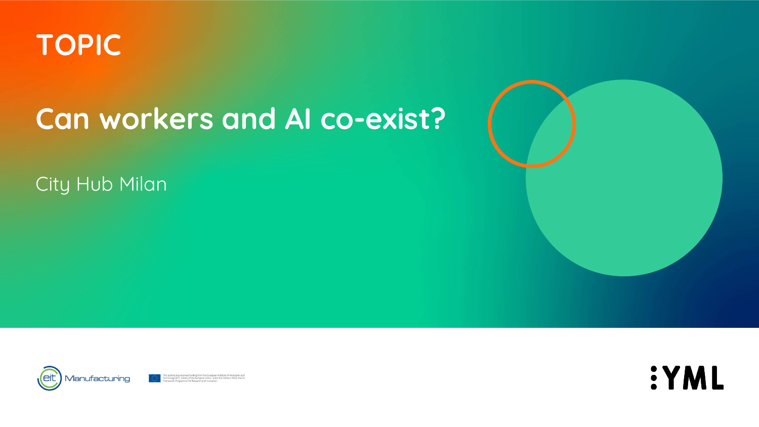## **Can workers and AI co-exist?**

#### City Hub Milan





This activity has received funding from the European Institute of Innovation and<br>Technology (EIT), a body of the European Union, under the Horizon 2020, the EU<br>Framework Programme for Research and Innovation





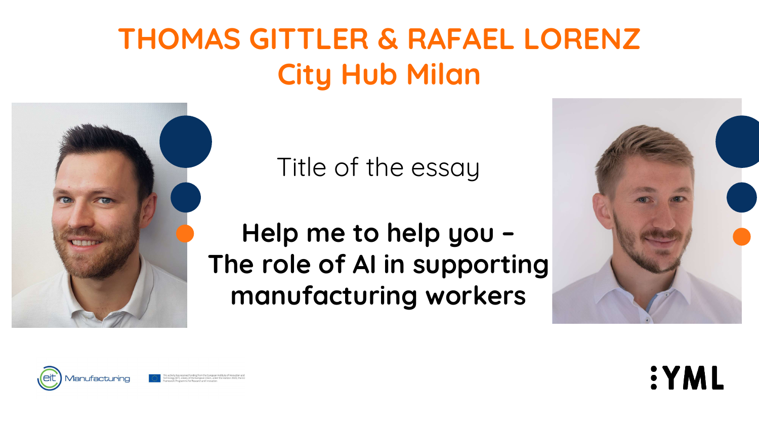Title of the essay

### **Help me to help you – The role of AI in supporting manufacturing workers**













## **THOMAS GITTLER & RAFAEL LORENZ City Hub Milan**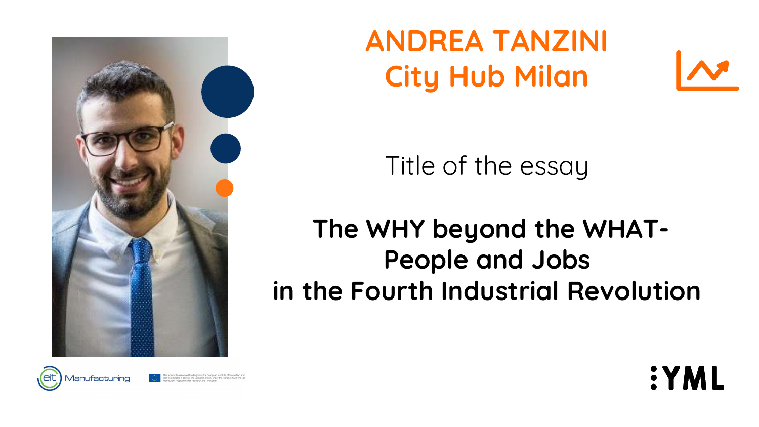



This activity has received funding from the European Institute of Inne nology (EIT), a body of the European Union, under the Horizon 2020, the E nework Programme for Research and Innovation

Title of the essay

**The WHY beyond the WHAT-People and Jobs in the Fourth Industrial Revolution**



**SYML** 

**ANDREA TANZINI City Hub Milan**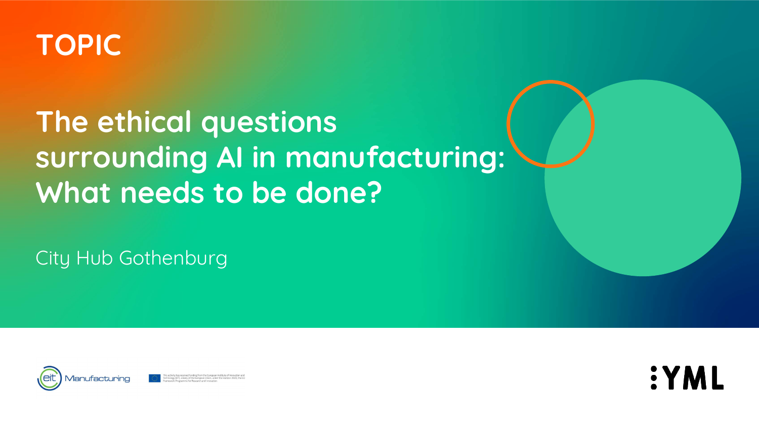## **The ethical questions surrounding AI in manufacturing: What needs to be done?**

#### City Hub Gothenburg





This activity has received funding from the European Institute of Innovation Technology (EIT), a body of the European Union, under the Horizon 2020, the B ramework Programme for Research and Innovatior







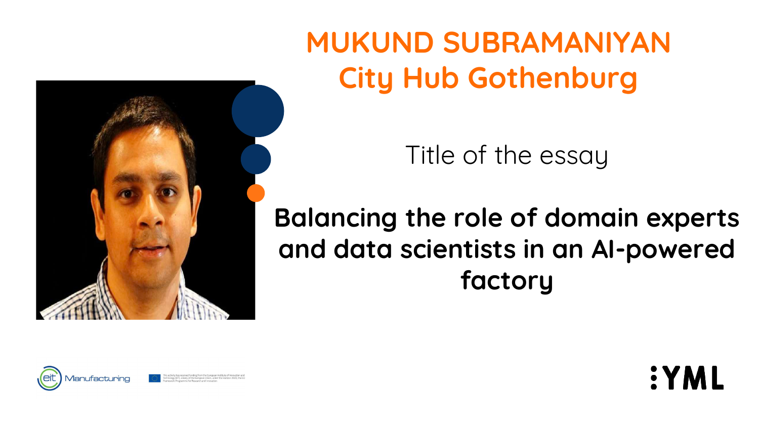Title of the essay

**Balancing the role of domain experts and data scientists in an AI-powered factory**



**SYML** 

**MUKUND SUBRAMANIYAN City Hub Gothenburg**







This activity has received funding from the European Institute of Inno Technology (EIT), a body of the European Union, under the Horizon 2020, the B amework Programme for Research and Innovatio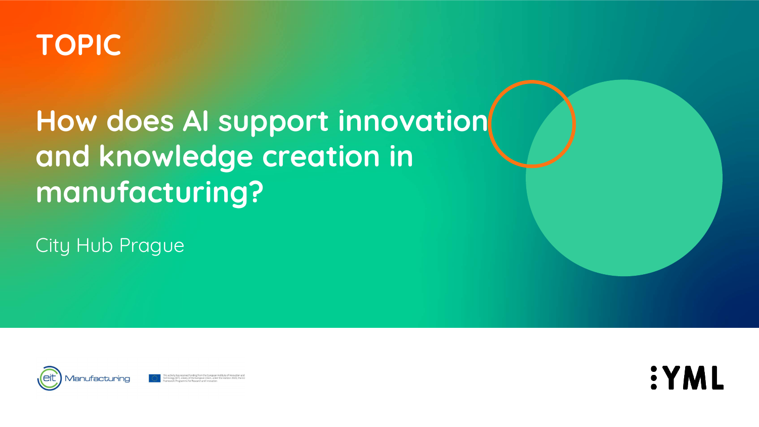## **How does AI support innovation and knowledge creation in manufacturing?**

City Hub Prague





This activity has received funding from the European Institute of Innovation Technology (EIT), a body of the European Union, under the Horizon 2020, the B ramework Programme for Research and Innovatior





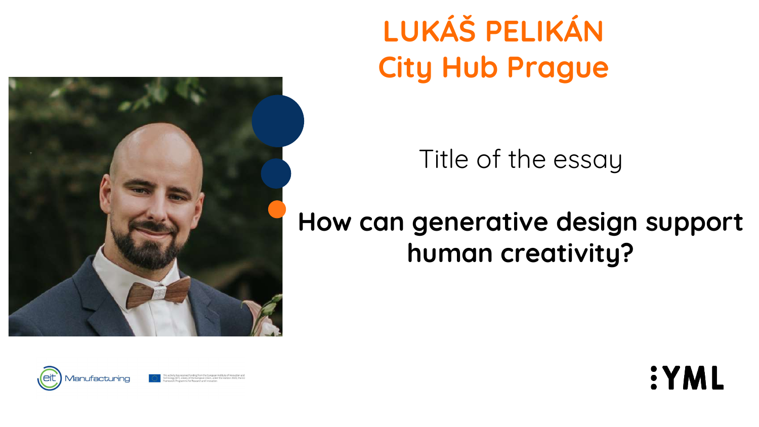





This activity has received funding from the European Institute of Innovation and Technology (EIT), a body of the European Union, under the Horizon 2020, the E ramework Programme for Research and Innovation

Title of the essay

### **How can generative design support human creativity?**



**SYML** 

**LUKÁŠ PELIKÁN City Hub Prague**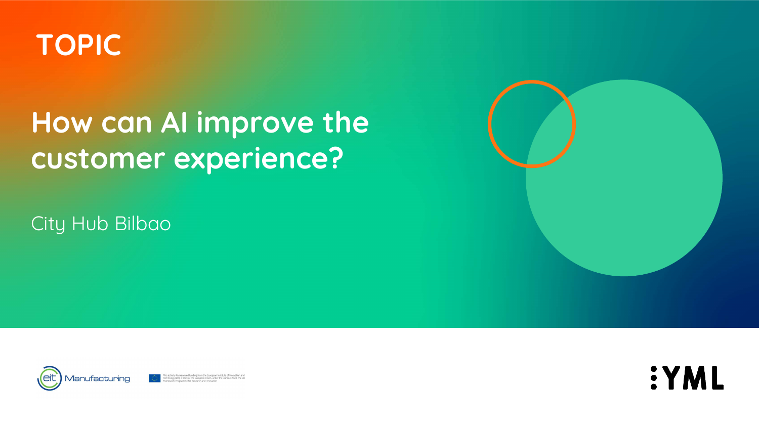## **How can AI improve the customer experience?**

#### City Hub Bilbao





This activity has received funding from the European Institute of Innovation and<br>Technology (EIT), a body of the European Union, under the Horizon 2020, the EU<br>Framework Programme for Research and Innovation





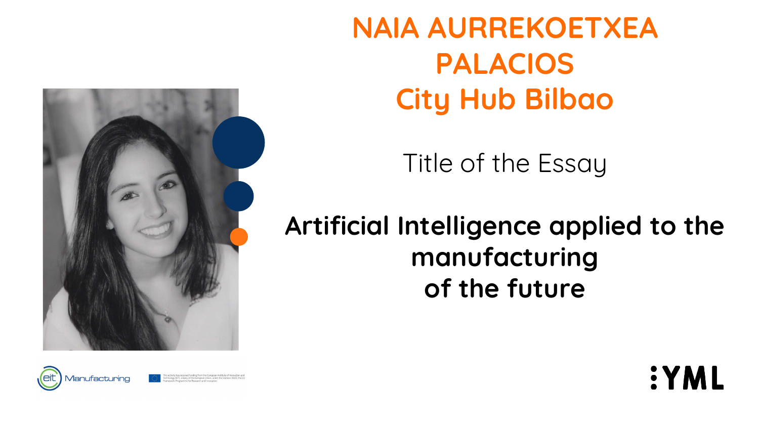Title of the Essay

**Artificial Intelligence applied to the manufacturing of the future**



**SYML** 







**NAIA AURREKOETXEA PALACIOS City Hub Bilbao**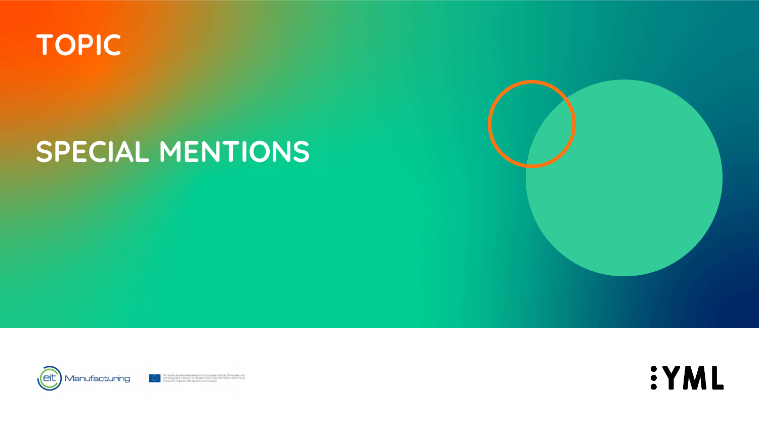

## SPECIAL MENTIONS





This activity has received funding from the European Institute of Innovation and<br>Technology (EIT), a body of the European Union, under the Horizon 2020, the EU<br>Framework Programme for Research and Innovation



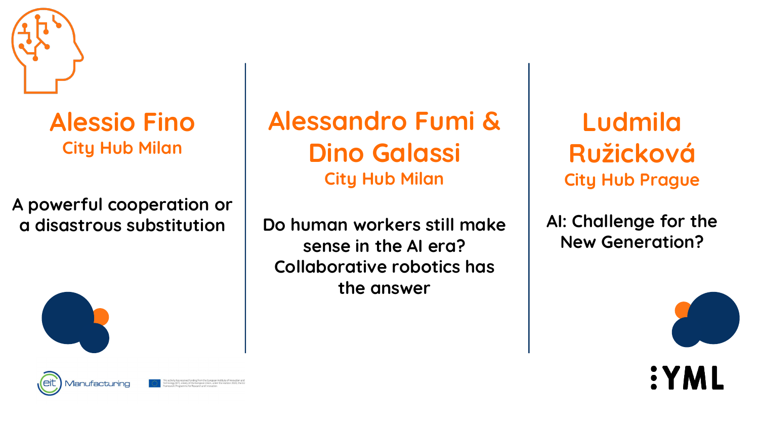### **Alessandro Fumi & Dino Galassi City Hub Milan**

**Do human workers still make sense in the AI era? Collaborative robotics has the answer**







AI: Challenge for the **New Generation?**





### **Alessio Fino City Hub Milan**

#### **A powerful cooperation or a disastrous substitution**

**Ludmila Ružicková City Hub Prague**